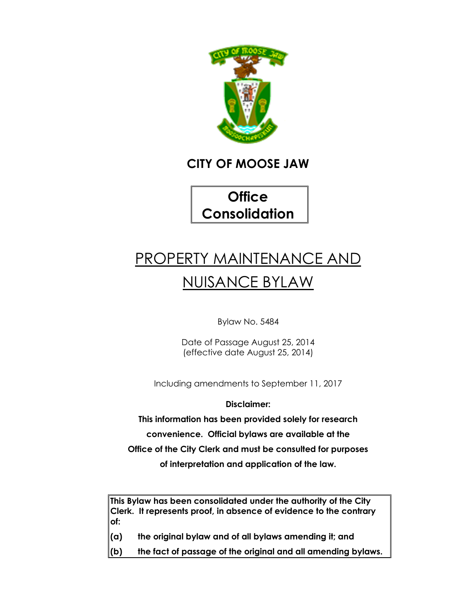

# **CITY OF MOOSE JAW**

**Office Consolidation**

# PROPERTY MAINTENANCE AND NUISANCE BYLAW

Bylaw No. 5484

Date of Passage August 25, 2014 (effective date August 25, 2014)

Including amendments to September 11, 2017

**Disclaimer:**

**This information has been provided solely for research convenience. Official bylaws are available at the Office of the City Clerk and must be consulted for purposes**

**of interpretation and application of the law.**

**This Bylaw has been consolidated under the authority of the City Clerk. It represents proof, in absence of evidence to the contrary of:** 

- **(a) the original bylaw and of all bylaws amending it; and**
- **(b) the fact of passage of the original and all amending bylaws.**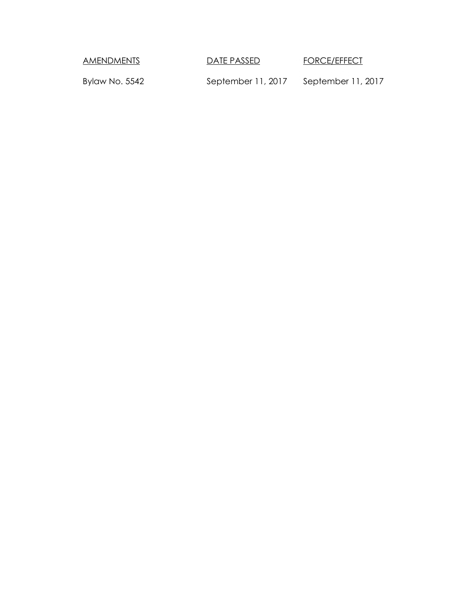AMENDMENTS DATE PASSED FORCE/EFFECT

Bylaw No. 5542 September 11, 2017 September 11, 2017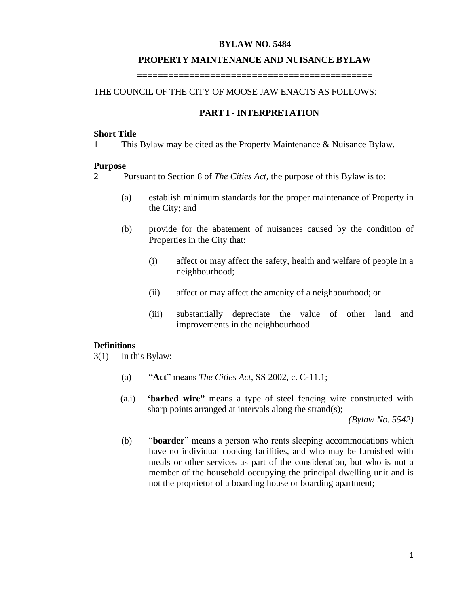#### **BYLAW NO. 5484**

#### **PROPERTY MAINTENANCE AND NUISANCE BYLAW**

**=============================================**

# THE COUNCIL OF THE CITY OF MOOSE JAW ENACTS AS FOLLOWS:

#### **PART I - INTERPRETATION**

#### **Short Title**

1 This Bylaw may be cited as the Property Maintenance & Nuisance Bylaw.

#### **Purpose**

2 Pursuant to Section 8 of *The Cities Act,* the purpose of this Bylaw is to:

- (a) establish minimum standards for the proper maintenance of Property in the City; and
- (b) provide for the abatement of nuisances caused by the condition of Properties in the City that:
	- (i) affect or may affect the safety, health and welfare of people in a neighbourhood;
	- (ii) affect or may affect the amenity of a neighbourhood; or
	- (iii) substantially depreciate the value of other land and improvements in the neighbourhood.

#### **Definitions**

- 3(1) In this Bylaw:
	- (a) "**Act**" means *The Cities Act*, SS 2002, c. C-11.1;
	- (a.i) **'barbed wire"** means a type of steel fencing wire constructed with sharp points arranged at intervals along the strand(s);

*(Bylaw No. 5542)*

(b) "**boarder**" means a person who rents sleeping accommodations which have no individual cooking facilities, and who may be furnished with meals or other services as part of the consideration, but who is not a member of the household occupying the principal dwelling unit and is not the proprietor of a boarding house or boarding apartment;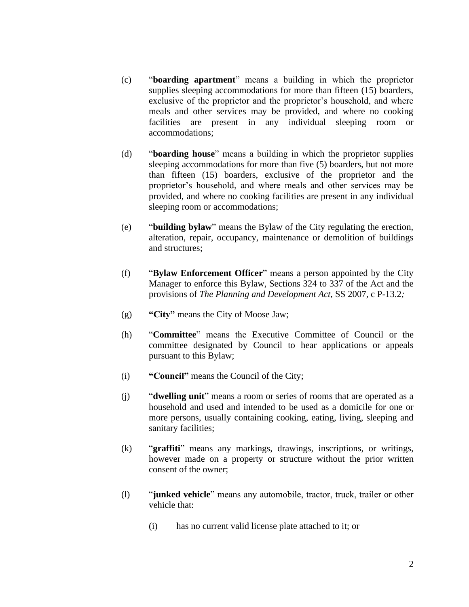- (c) "**boarding apartment**" means a building in which the proprietor supplies sleeping accommodations for more than fifteen (15) boarders, exclusive of the proprietor and the proprietor's household, and where meals and other services may be provided, and where no cooking facilities are present in any individual sleeping room or accommodations;
- (d) "**boarding house**" means a building in which the proprietor supplies sleeping accommodations for more than five (5) boarders, but not more than fifteen (15) boarders, exclusive of the proprietor and the proprietor's household, and where meals and other services may be provided, and where no cooking facilities are present in any individual sleeping room or accommodations;
- (e) "**building bylaw**" means the Bylaw of the City regulating the erection, alteration, repair, occupancy, maintenance or demolition of buildings and structures;
- (f) "**Bylaw Enforcement Officer**" means a person appointed by the City Manager to enforce this Bylaw, Sections 324 to 337 of the Act and the provisions of *The Planning and Development Act,* SS 2007, c P-13.2*;*
- (g) **"City"** means the City of Moose Jaw;
- (h) "**Committee**" means the Executive Committee of Council or the committee designated by Council to hear applications or appeals pursuant to this Bylaw;
- (i) **"Council"** means the Council of the City;
- (j) "**dwelling unit**" means a room or series of rooms that are operated as a household and used and intended to be used as a domicile for one or more persons, usually containing cooking, eating, living, sleeping and sanitary facilities;
- (k) "**graffiti**" means any markings, drawings, inscriptions, or writings, however made on a property or structure without the prior written consent of the owner;
- (l) "**junked vehicle**" means any automobile, tractor, truck, trailer or other vehicle that:
	- (i) has no current valid license plate attached to it; or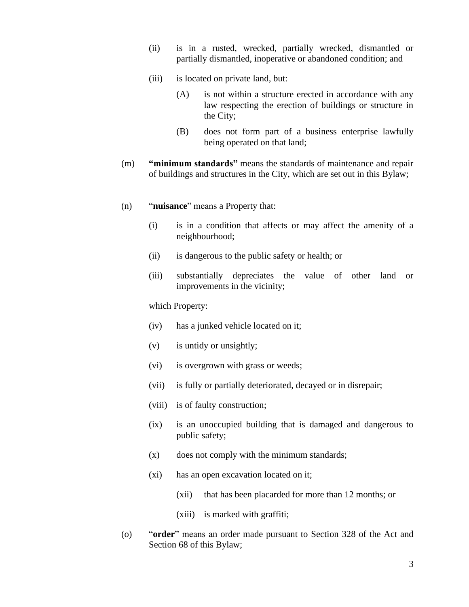- (ii) is in a rusted, wrecked, partially wrecked, dismantled or partially dismantled, inoperative or abandoned condition; and
- (iii) is located on private land, but:
	- (A) is not within a structure erected in accordance with any law respecting the erection of buildings or structure in the City;
	- (B) does not form part of a business enterprise lawfully being operated on that land;
- (m) **"minimum standards"** means the standards of maintenance and repair of buildings and structures in the City, which are set out in this Bylaw;
- (n) "**nuisance**" means a Property that:
	- (i) is in a condition that affects or may affect the amenity of a neighbourhood;
	- (ii) is dangerous to the public safety or health; or
	- (iii) substantially depreciates the value of other land or improvements in the vicinity;

which Property:

- (iv) has a junked vehicle located on it;
- (v) is untidy or unsightly;
- (vi) is overgrown with grass or weeds;
- (vii) is fully or partially deteriorated, decayed or in disrepair;
- (viii) is of faulty construction;
- (ix) is an unoccupied building that is damaged and dangerous to public safety;
- (x) does not comply with the minimum standards;
- (xi) has an open excavation located on it;
	- (xii) that has been placarded for more than 12 months; or
	- (xiii) is marked with graffiti;
- (o) "**order**" means an order made pursuant to Section 328 of the Act and Section 68 of this Bylaw;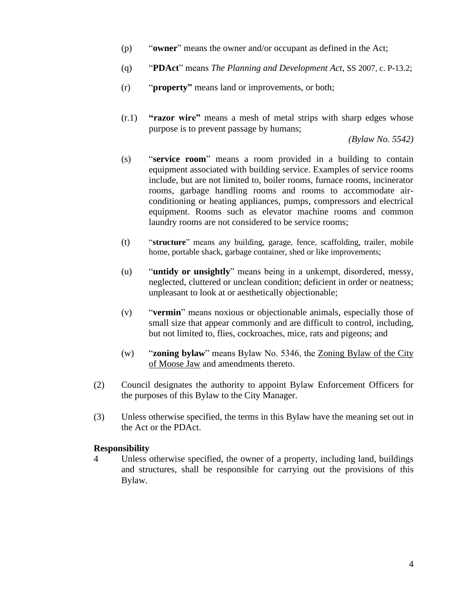- (p) "**owner**" means the owner and/or occupant as defined in the Act;
- (q) "**PDAct**" means *The Planning and Development Act,* SS 2007, c. P-13.2;
- (r) "**property"** means land or improvements, or both;
- (r.1) **"razor wire"** means a mesh of metal strips with sharp edges whose purpose is to prevent passage by humans;

*(Bylaw No. 5542)*

- (s) "**service room**" means a room provided in a building to contain equipment associated with building service. Examples of service rooms include, but are not limited to, boiler rooms, furnace rooms, incinerator rooms, garbage handling rooms and rooms to accommodate airconditioning or heating appliances, pumps, compressors and electrical equipment. Rooms such as elevator machine rooms and common laundry rooms are not considered to be service rooms;
- (t) "**structure**" means any building, garage, fence, scaffolding, trailer, mobile home, portable shack, garbage container, shed or like improvements;
- (u) "**untidy or unsightly**" means being in a unkempt, disordered, messy, neglected, cluttered or unclean condition; deficient in order or neatness; unpleasant to look at or aesthetically objectionable;
- (v) "**vermin**" means noxious or objectionable animals, especially those of small size that appear commonly and are difficult to control, including, but not limited to, flies, cockroaches, mice, rats and pigeons; and
- (w) "**zoning bylaw**" means Bylaw No. 5346, the Zoning Bylaw of the City of Moose Jaw and amendments thereto.
- (2) Council designates the authority to appoint Bylaw Enforcement Officers for the purposes of this Bylaw to the City Manager.
- (3) Unless otherwise specified, the terms in this Bylaw have the meaning set out in the Act or the PDAct.

#### **Responsibility**

4 Unless otherwise specified, the owner of a property, including land, buildings and structures, shall be responsible for carrying out the provisions of this Bylaw.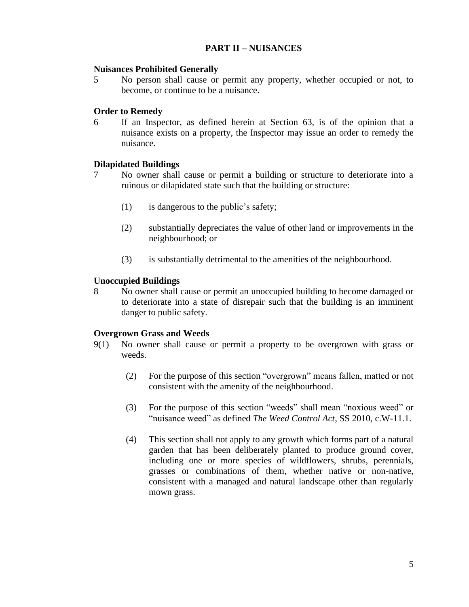# **PART II – NUISANCES**

#### **Nuisances Prohibited Generally**

5 No person shall cause or permit any property, whether occupied or not, to become, or continue to be a nuisance.

#### **Order to Remedy**

6 If an Inspector, as defined herein at Section 63, is of the opinion that a nuisance exists on a property, the Inspector may issue an order to remedy the nuisance.

#### **Dilapidated Buildings**

- 7 No owner shall cause or permit a building or structure to deteriorate into a ruinous or dilapidated state such that the building or structure:
	- (1) is dangerous to the public's safety;
	- (2) substantially depreciates the value of other land or improvements in the neighbourhood; or
	- (3) is substantially detrimental to the amenities of the neighbourhood.

#### **Unoccupied Buildings**

8 No owner shall cause or permit an unoccupied building to become damaged or to deteriorate into a state of disrepair such that the building is an imminent danger to public safety.

#### **Overgrown Grass and Weeds**

- 9(1) No owner shall cause or permit a property to be overgrown with grass or weeds.
	- (2) For the purpose of this section "overgrown" means fallen, matted or not consistent with the amenity of the neighbourhood.
	- (3) For the purpose of this section "weeds" shall mean "noxious weed" or "nuisance weed" as defined *The Weed Control Act*, SS 2010, c.W-11.1.
	- (4) This section shall not apply to any growth which forms part of a natural garden that has been deliberately planted to produce ground cover, including one or more species of wildflowers, shrubs, perennials, grasses or combinations of them, whether native or non-native, consistent with a managed and natural landscape other than regularly mown grass.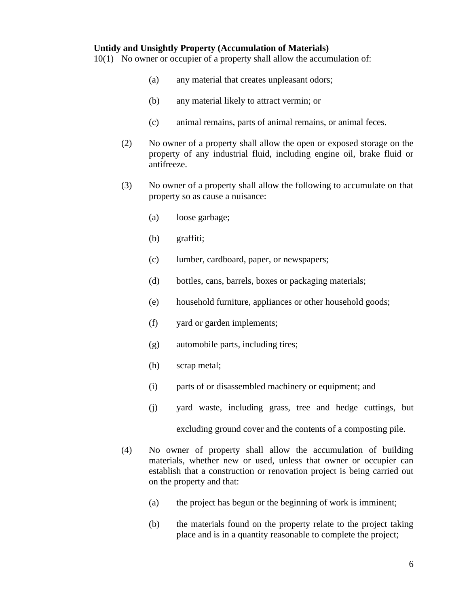#### **Untidy and Unsightly Property (Accumulation of Materials)**

10(1) No owner or occupier of a property shall allow the accumulation of:

- (a) any material that creates unpleasant odors;
- (b) any material likely to attract vermin; or
- (c) animal remains, parts of animal remains, or animal feces.
- (2) No owner of a property shall allow the open or exposed storage on the property of any industrial fluid, including engine oil, brake fluid or antifreeze.
- (3) No owner of a property shall allow the following to accumulate on that property so as cause a nuisance:
	- (a) loose garbage;
	- (b) graffiti;
	- (c) lumber, cardboard, paper, or newspapers;
	- (d) bottles, cans, barrels, boxes or packaging materials;
	- (e) household furniture, appliances or other household goods;
	- (f) yard or garden implements;
	- (g) automobile parts, including tires;
	- (h) scrap metal;
	- (i) parts of or disassembled machinery or equipment; and
	- (j) yard waste, including grass, tree and hedge cuttings, but

excluding ground cover and the contents of a composting pile.

- (4) No owner of property shall allow the accumulation of building materials, whether new or used, unless that owner or occupier can establish that a construction or renovation project is being carried out on the property and that:
	- (a) the project has begun or the beginning of work is imminent;
	- (b) the materials found on the property relate to the project taking place and is in a quantity reasonable to complete the project;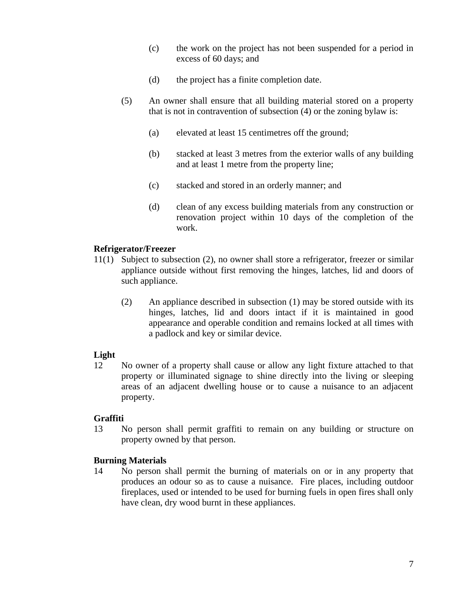- (c) the work on the project has not been suspended for a period in excess of 60 days; and
- (d) the project has a finite completion date.
- (5) An owner shall ensure that all building material stored on a property that is not in contravention of subsection (4) or the zoning bylaw is:
	- (a) elevated at least 15 centimetres off the ground;
	- (b) stacked at least 3 metres from the exterior walls of any building and at least 1 metre from the property line;
	- (c) stacked and stored in an orderly manner; and
	- (d) clean of any excess building materials from any construction or renovation project within 10 days of the completion of the work.

# **Refrigerator/Freezer**

- 11(1) Subject to subsection (2), no owner shall store a refrigerator, freezer or similar appliance outside without first removing the hinges, latches, lid and doors of such appliance.
	- (2) An appliance described in subsection (1) may be stored outside with its hinges, latches, lid and doors intact if it is maintained in good appearance and operable condition and remains locked at all times with a padlock and key or similar device.

# **Light**

12 No owner of a property shall cause or allow any light fixture attached to that property or illuminated signage to shine directly into the living or sleeping areas of an adjacent dwelling house or to cause a nuisance to an adjacent property.

# **Graffiti**

13 No person shall permit graffiti to remain on any building or structure on property owned by that person.

# **Burning Materials**

14 No person shall permit the burning of materials on or in any property that produces an odour so as to cause a nuisance. Fire places, including outdoor fireplaces, used or intended to be used for burning fuels in open fires shall only have clean, dry wood burnt in these appliances.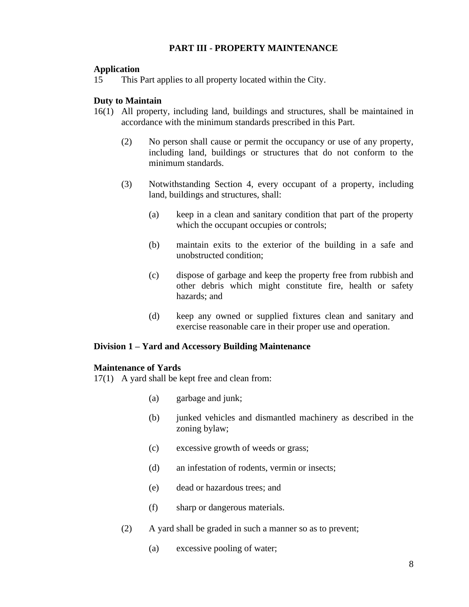# **PART III - PROPERTY MAINTENANCE**

# **Application**

15 This Part applies to all property located within the City.

# **Duty to Maintain**

- 16(1) All property, including land, buildings and structures, shall be maintained in accordance with the minimum standards prescribed in this Part.
	- (2) No person shall cause or permit the occupancy or use of any property, including land, buildings or structures that do not conform to the minimum standards.
	- (3) Notwithstanding Section 4, every occupant of a property, including land, buildings and structures, shall:
		- (a) keep in a clean and sanitary condition that part of the property which the occupant occupies or controls;
		- (b) maintain exits to the exterior of the building in a safe and unobstructed condition;
		- (c) dispose of garbage and keep the property free from rubbish and other debris which might constitute fire, health or safety hazards; and
		- (d) keep any owned or supplied fixtures clean and sanitary and exercise reasonable care in their proper use and operation.

# **Division 1 – Yard and Accessory Building Maintenance**

# **Maintenance of Yards**

17(1) A yard shall be kept free and clean from:

- (a) garbage and junk;
- (b) junked vehicles and dismantled machinery as described in the zoning bylaw;
- (c) excessive growth of weeds or grass;
- (d) an infestation of rodents, vermin or insects;
- (e) dead or hazardous trees; and
- (f) sharp or dangerous materials.
- (2) A yard shall be graded in such a manner so as to prevent;
	- (a) excessive pooling of water;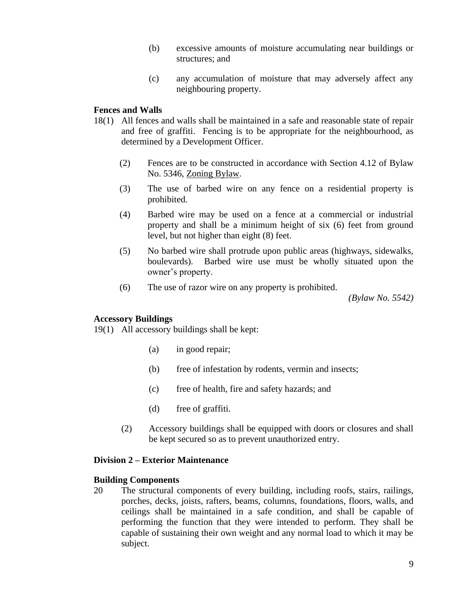- (b) excessive amounts of moisture accumulating near buildings or structures; and
- (c) any accumulation of moisture that may adversely affect any neighbouring property.

# **Fences and Walls**

- 18(1) All fences and walls shall be maintained in a safe and reasonable state of repair and free of graffiti. Fencing is to be appropriate for the neighbourhood, as determined by a Development Officer.
	- (2) Fences are to be constructed in accordance with Section 4.12 of Bylaw No. 5346, Zoning Bylaw.
	- (3) The use of barbed wire on any fence on a residential property is prohibited.
	- (4) Barbed wire may be used on a fence at a commercial or industrial property and shall be a minimum height of six (6) feet from ground level, but not higher than eight (8) feet.
	- (5) No barbed wire shall protrude upon public areas (highways, sidewalks, boulevards). Barbed wire use must be wholly situated upon the owner's property.
	- (6) The use of razor wire on any property is prohibited.

*(Bylaw No. 5542)*

# **Accessory Buildings**

19(1) All accessory buildings shall be kept:

- (a) in good repair;
- (b) free of infestation by rodents, vermin and insects;
- (c) free of health, fire and safety hazards; and
- (d) free of graffiti.
- (2) Accessory buildings shall be equipped with doors or closures and shall be kept secured so as to prevent unauthorized entry.

# **Division 2 – Exterior Maintenance**

# **Building Components**

20 The structural components of every building, including roofs, stairs, railings, porches, decks, joists, rafters, beams, columns, foundations, floors, walls, and ceilings shall be maintained in a safe condition, and shall be capable of performing the function that they were intended to perform. They shall be capable of sustaining their own weight and any normal load to which it may be subject.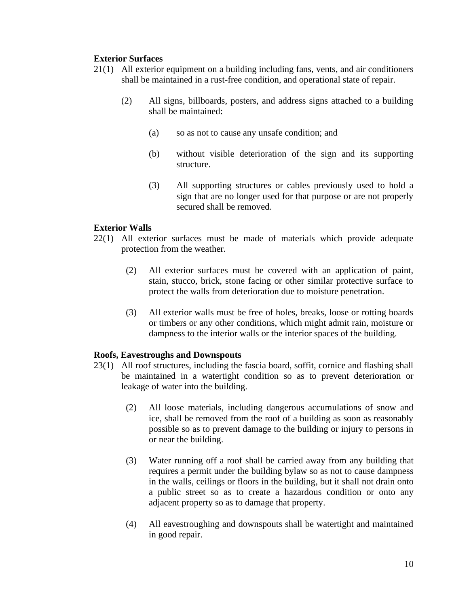# **Exterior Surfaces**

- 21(1) All exterior equipment on a building including fans, vents, and air conditioners shall be maintained in a rust-free condition, and operational state of repair.
	- (2) All signs, billboards, posters, and address signs attached to a building shall be maintained:
		- (a) so as not to cause any unsafe condition; and
		- (b) without visible deterioration of the sign and its supporting structure.
		- (3) All supporting structures or cables previously used to hold a sign that are no longer used for that purpose or are not properly secured shall be removed.

# **Exterior Walls**

- 22(1) All exterior surfaces must be made of materials which provide adequate protection from the weather.
	- (2) All exterior surfaces must be covered with an application of paint, stain, stucco, brick, stone facing or other similar protective surface to protect the walls from deterioration due to moisture penetration.
	- (3) All exterior walls must be free of holes, breaks, loose or rotting boards or timbers or any other conditions, which might admit rain, moisture or dampness to the interior walls or the interior spaces of the building.

# **Roofs, Eavestroughs and Downspouts**

- 23(1) All roof structures, including the fascia board, soffit, cornice and flashing shall be maintained in a watertight condition so as to prevent deterioration or leakage of water into the building.
	- (2) All loose materials, including dangerous accumulations of snow and ice, shall be removed from the roof of a building as soon as reasonably possible so as to prevent damage to the building or injury to persons in or near the building.
	- (3) Water running off a roof shall be carried away from any building that requires a permit under the building bylaw so as not to cause dampness in the walls, ceilings or floors in the building, but it shall not drain onto a public street so as to create a hazardous condition or onto any adjacent property so as to damage that property.
	- (4) All eavestroughing and downspouts shall be watertight and maintained in good repair.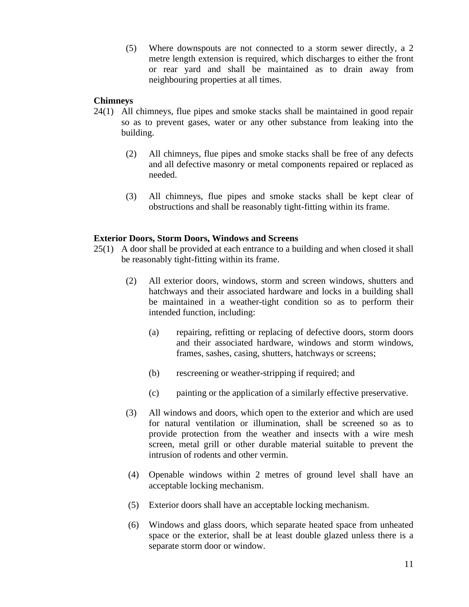(5) Where downspouts are not connected to a storm sewer directly, a 2 metre length extension is required, which discharges to either the front or rear yard and shall be maintained as to drain away from neighbouring properties at all times.

# **Chimneys**

- 24(1) All chimneys, flue pipes and smoke stacks shall be maintained in good repair so as to prevent gases, water or any other substance from leaking into the building.
	- (2) All chimneys, flue pipes and smoke stacks shall be free of any defects and all defective masonry or metal components repaired or replaced as needed.
	- (3) All chimneys, flue pipes and smoke stacks shall be kept clear of obstructions and shall be reasonably tight-fitting within its frame.

# **Exterior Doors, Storm Doors, Windows and Screens**

- 25(1) A door shall be provided at each entrance to a building and when closed it shall be reasonably tight-fitting within its frame.
	- (2) All exterior doors, windows, storm and screen windows, shutters and hatchways and their associated hardware and locks in a building shall be maintained in a weather-tight condition so as to perform their intended function, including:
		- (a) repairing, refitting or replacing of defective doors, storm doors and their associated hardware, windows and storm windows, frames, sashes, casing, shutters, hatchways or screens;
		- (b) rescreening or weather-stripping if required; and
		- (c) painting or the application of a similarly effective preservative.
	- (3) All windows and doors, which open to the exterior and which are used for natural ventilation or illumination, shall be screened so as to provide protection from the weather and insects with a wire mesh screen, metal grill or other durable material suitable to prevent the intrusion of rodents and other vermin.
	- (4) Openable windows within 2 metres of ground level shall have an acceptable locking mechanism.
	- (5) Exterior doors shall have an acceptable locking mechanism.
	- (6) Windows and glass doors, which separate heated space from unheated space or the exterior, shall be at least double glazed unless there is a separate storm door or window.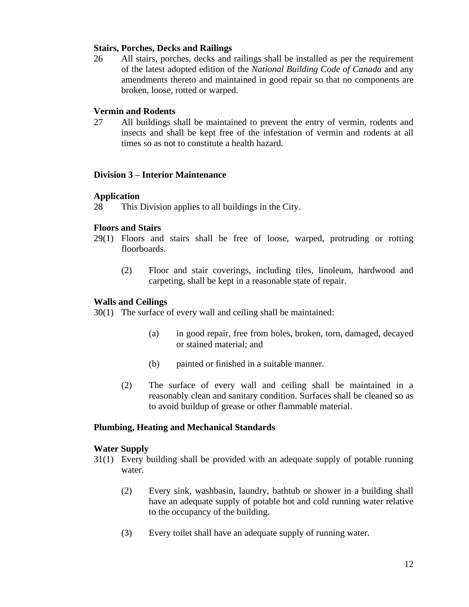# **Stairs, Porches, Decks and Railings**

26 All stairs, porches, decks and railings shall be installed as per the requirement of the latest adopted edition of the *National Building Code of Canada* and any amendments thereto and maintained in good repair so that no components are broken, loose, rotted or warped.

#### **Vermin and Rodents**

27 All buildings shall be maintained to prevent the entry of vermin, rodents and insects and shall be kept free of the infestation of vermin and rodents at all times so as not to constitute a health hazard.

#### **Division 3 – Interior Maintenance**

#### **Application**

28 This Division applies to all buildings in the City.

#### **Floors and Stairs**

- 29(1) Floors and stairs shall be free of loose, warped, protruding or rotting floorboards.
	- (2) Floor and stair coverings, including tiles, linoleum, hardwood and carpeting, shall be kept in a reasonable state of repair.

#### **Walls and Ceilings**

30(1) The surface of every wall and ceiling shall be maintained:

- (a) in good repair, free from holes, broken, torn, damaged, decayed or stained material; and
- (b) painted or finished in a suitable manner.
- (2) The surface of every wall and ceiling shall be maintained in a reasonably clean and sanitary condition. Surfaces shall be cleaned so as to avoid buildup of grease or other flammable material.

#### **Plumbing, Heating and Mechanical Standards**

#### **Water Supply**

- 31(1) Every building shall be provided with an adequate supply of potable running water.
	- (2) Every sink, washbasin, laundry, bathtub or shower in a building shall have an adequate supply of potable hot and cold running water relative to the occupancy of the building.
	- (3) Every toilet shall have an adequate supply of running water.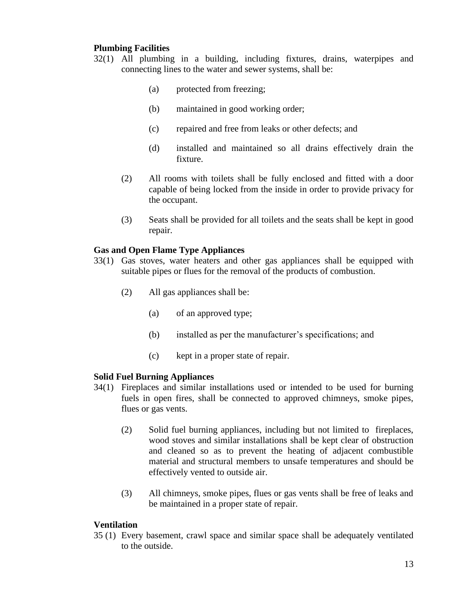# **Plumbing Facilities**

- 32(1) All plumbing in a building, including fixtures, drains, waterpipes and connecting lines to the water and sewer systems, shall be:
	- (a) protected from freezing;
	- (b) maintained in good working order;
	- (c) repaired and free from leaks or other defects; and
	- (d) installed and maintained so all drains effectively drain the fixture.
	- (2) All rooms with toilets shall be fully enclosed and fitted with a door capable of being locked from the inside in order to provide privacy for the occupant.
	- (3) Seats shall be provided for all toilets and the seats shall be kept in good repair.

# **Gas and Open Flame Type Appliances**

- 33(1) Gas stoves, water heaters and other gas appliances shall be equipped with suitable pipes or flues for the removal of the products of combustion.
	- (2) All gas appliances shall be:
		- (a) of an approved type;
		- (b) installed as per the manufacturer's specifications; and
		- (c) kept in a proper state of repair.

# **Solid Fuel Burning Appliances**

- 34(1) Fireplaces and similar installations used or intended to be used for burning fuels in open fires, shall be connected to approved chimneys, smoke pipes, flues or gas vents.
	- (2) Solid fuel burning appliances, including but not limited to fireplaces, wood stoves and similar installations shall be kept clear of obstruction and cleaned so as to prevent the heating of adjacent combustible material and structural members to unsafe temperatures and should be effectively vented to outside air.
	- (3) All chimneys, smoke pipes, flues or gas vents shall be free of leaks and be maintained in a proper state of repair.

# **Ventilation**

35 (1) Every basement, crawl space and similar space shall be adequately ventilated to the outside.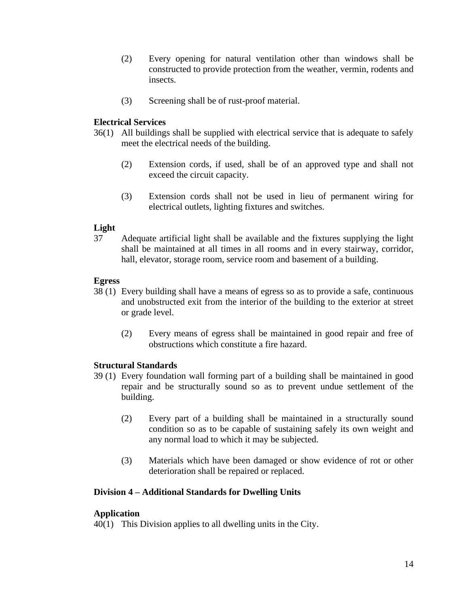- (2) Every opening for natural ventilation other than windows shall be constructed to provide protection from the weather, vermin, rodents and insects.
- (3) Screening shall be of rust-proof material.

# **Electrical Services**

- 36(1) All buildings shall be supplied with electrical service that is adequate to safely meet the electrical needs of the building.
	- (2) Extension cords, if used, shall be of an approved type and shall not exceed the circuit capacity.
	- (3) Extension cords shall not be used in lieu of permanent wiring for electrical outlets, lighting fixtures and switches.

# **Light**

37 Adequate artificial light shall be available and the fixtures supplying the light shall be maintained at all times in all rooms and in every stairway, corridor, hall, elevator, storage room, service room and basement of a building.

# **Egress**

- 38 (1) Every building shall have a means of egress so as to provide a safe, continuous and unobstructed exit from the interior of the building to the exterior at street or grade level.
	- (2) Every means of egress shall be maintained in good repair and free of obstructions which constitute a fire hazard.

# **Structural Standards**

- 39 (1) Every foundation wall forming part of a building shall be maintained in good repair and be structurally sound so as to prevent undue settlement of the building.
	- (2) Every part of a building shall be maintained in a structurally sound condition so as to be capable of sustaining safely its own weight and any normal load to which it may be subjected.
	- (3) Materials which have been damaged or show evidence of rot or other deterioration shall be repaired or replaced.

# **Division 4 – Additional Standards for Dwelling Units**

# **Application**

40(1) This Division applies to all dwelling units in the City.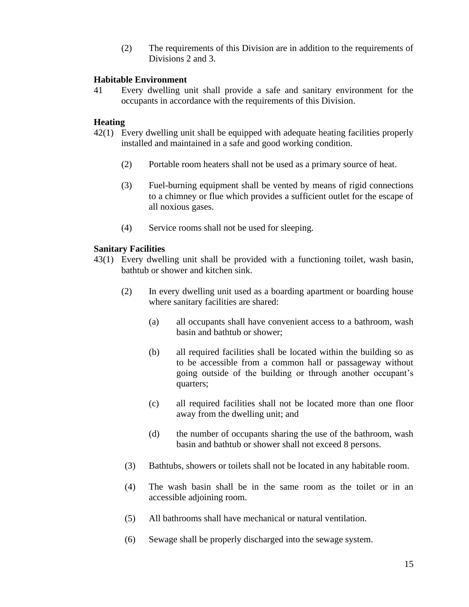(2) The requirements of this Division are in addition to the requirements of Divisions 2 and 3.

# **Habitable Environment**

41 Every dwelling unit shall provide a safe and sanitary environment for the occupants in accordance with the requirements of this Division.

# **Heating**

- 42(1) Every dwelling unit shall be equipped with adequate heating facilities properly installed and maintained in a safe and good working condition.
	- (2) Portable room heaters shall not be used as a primary source of heat.
	- (3) Fuel-burning equipment shall be vented by means of rigid connections to a chimney or flue which provides a sufficient outlet for the escape of all noxious gases.
	- (4) Service rooms shall not be used for sleeping.

# **Sanitary Facilities**

- 43(1) Every dwelling unit shall be provided with a functioning toilet, wash basin, bathtub or shower and kitchen sink.
	- (2) In every dwelling unit used as a boarding apartment or boarding house where sanitary facilities are shared:
		- (a) all occupants shall have convenient access to a bathroom, wash basin and bathtub or shower;
		- (b) all required facilities shall be located within the building so as to be accessible from a common hall or passageway without going outside of the building or through another occupant's quarters;
		- (c) all required facilities shall not be located more than one floor away from the dwelling unit; and
		- (d) the number of occupants sharing the use of the bathroom, wash basin and bathtub or shower shall not exceed 8 persons.
	- (3) Bathtubs, showers or toilets shall not be located in any habitable room.
	- (4) The wash basin shall be in the same room as the toilet or in an accessible adjoining room.
	- (5) All bathrooms shall have mechanical or natural ventilation.
	- (6) Sewage shall be properly discharged into the sewage system.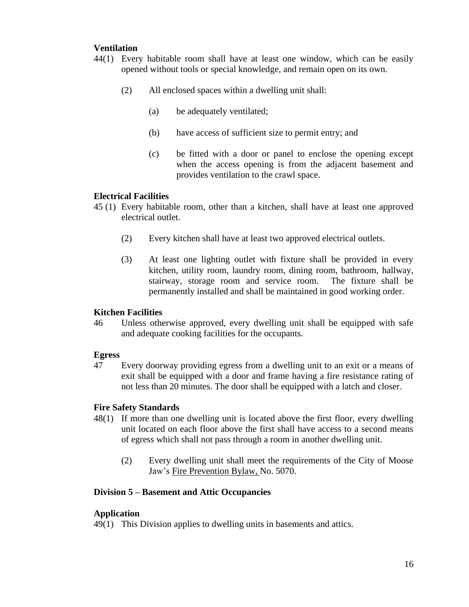# **Ventilation**

- 44(1) Every habitable room shall have at least one window, which can be easily opened without tools or special knowledge, and remain open on its own.
	- (2) All enclosed spaces within a dwelling unit shall:
		- (a) be adequately ventilated;
		- (b) have access of sufficient size to permit entry; and
		- (c) be fitted with a door or panel to enclose the opening except when the access opening is from the adjacent basement and provides ventilation to the crawl space.

# **Electrical Facilities**

- 45 (1) Every habitable room, other than a kitchen, shall have at least one approved electrical outlet.
	- (2) Every kitchen shall have at least two approved electrical outlets.
	- (3) At least one lighting outlet with fixture shall be provided in every kitchen, utility room, laundry room, dining room, bathroom, hallway, stairway, storage room and service room. The fixture shall be permanently installed and shall be maintained in good working order.

# **Kitchen Facilities**

46 Unless otherwise approved, every dwelling unit shall be equipped with safe and adequate cooking facilities for the occupants.

# **Egress**

47 Every doorway providing egress from a dwelling unit to an exit or a means of exit shall be equipped with a door and frame having a fire resistance rating of not less than 20 minutes. The door shall be equipped with a latch and closer.

# **Fire Safety Standards**

- 48(1) If more than one dwelling unit is located above the first floor, every dwelling unit located on each floor above the first shall have access to a second means of egress which shall not pass through a room in another dwelling unit.
	- (2) Every dwelling unit shall meet the requirements of the City of Moose Jaw's Fire Prevention Bylaw, No. 5070.

# **Division 5 – Basement and Attic Occupancies**

# **Application**

49(1) This Division applies to dwelling units in basements and attics.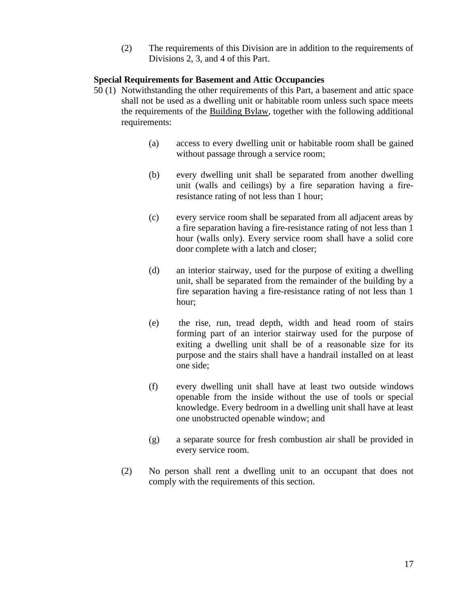(2) The requirements of this Division are in addition to the requirements of Divisions 2, 3, and 4 of this Part.

# **Special Requirements for Basement and Attic Occupancies**

- 50 (1) Notwithstanding the other requirements of this Part, a basement and attic space shall not be used as a dwelling unit or habitable room unless such space meets the requirements of the Building Bylaw, together with the following additional requirements:
	- (a) access to every dwelling unit or habitable room shall be gained without passage through a service room;
	- (b) every dwelling unit shall be separated from another dwelling unit (walls and ceilings) by a fire separation having a fireresistance rating of not less than 1 hour;
	- (c) every service room shall be separated from all adjacent areas by a fire separation having a fire-resistance rating of not less than 1 hour (walls only). Every service room shall have a solid core door complete with a latch and closer;
	- (d) an interior stairway, used for the purpose of exiting a dwelling unit, shall be separated from the remainder of the building by a fire separation having a fire-resistance rating of not less than 1 hour;
	- (e) the rise, run, tread depth, width and head room of stairs forming part of an interior stairway used for the purpose of exiting a dwelling unit shall be of a reasonable size for its purpose and the stairs shall have a handrail installed on at least one side;
	- (f) every dwelling unit shall have at least two outside windows openable from the inside without the use of tools or special knowledge. Every bedroom in a dwelling unit shall have at least one unobstructed openable window; and
	- (g) a separate source for fresh combustion air shall be provided in every service room.
	- (2) No person shall rent a dwelling unit to an occupant that does not comply with the requirements of this section.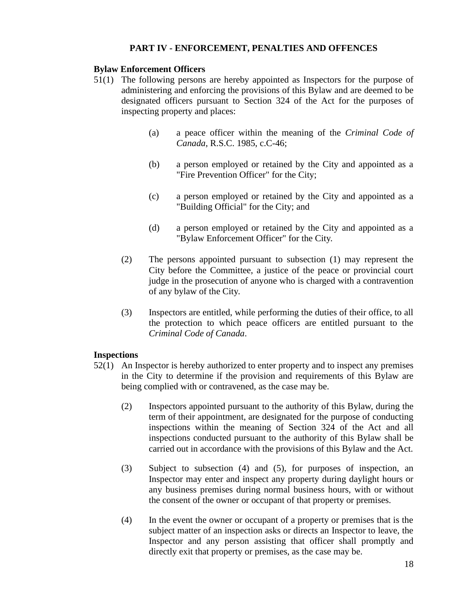# **PART IV - ENFORCEMENT, PENALTIES AND OFFENCES**

# **Bylaw Enforcement Officers**

- 51(1) The following persons are hereby appointed as Inspectors for the purpose of administering and enforcing the provisions of this Bylaw and are deemed to be designated officers pursuant to Section 324 of the Act for the purposes of inspecting property and places:
	- (a) a peace officer within the meaning of the *Criminal Code of Canada*, R.S.C. 1985, c.C-46;
	- (b) a person employed or retained by the City and appointed as a "Fire Prevention Officer" for the City;
	- (c) a person employed or retained by the City and appointed as a "Building Official" for the City; and
	- (d) a person employed or retained by the City and appointed as a "Bylaw Enforcement Officer" for the City.
	- (2) The persons appointed pursuant to subsection (1) may represent the City before the Committee, a justice of the peace or provincial court judge in the prosecution of anyone who is charged with a contravention of any bylaw of the City.
	- (3) Inspectors are entitled, while performing the duties of their office, to all the protection to which peace officers are entitled pursuant to the *Criminal Code of Canada*.

# **Inspections**

- 52(1) An Inspector is hereby authorized to enter property and to inspect any premises in the City to determine if the provision and requirements of this Bylaw are being complied with or contravened, as the case may be.
	- (2) Inspectors appointed pursuant to the authority of this Bylaw, during the term of their appointment, are designated for the purpose of conducting inspections within the meaning of Section 324 of the Act and all inspections conducted pursuant to the authority of this Bylaw shall be carried out in accordance with the provisions of this Bylaw and the Act.
	- (3) Subject to subsection (4) and (5), for purposes of inspection, an Inspector may enter and inspect any property during daylight hours or any business premises during normal business hours, with or without the consent of the owner or occupant of that property or premises.
	- (4) In the event the owner or occupant of a property or premises that is the subject matter of an inspection asks or directs an Inspector to leave, the Inspector and any person assisting that officer shall promptly and directly exit that property or premises, as the case may be.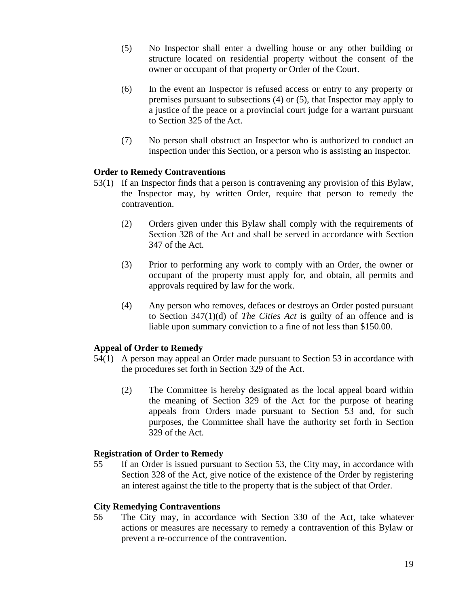- (5) No Inspector shall enter a dwelling house or any other building or structure located on residential property without the consent of the owner or occupant of that property or Order of the Court.
- (6) In the event an Inspector is refused access or entry to any property or premises pursuant to subsections (4) or (5), that Inspector may apply to a justice of the peace or a provincial court judge for a warrant pursuant to Section 325 of the Act.
- (7) No person shall obstruct an Inspector who is authorized to conduct an inspection under this Section, or a person who is assisting an Inspector.

# **Order to Remedy Contraventions**

- 53(1) If an Inspector finds that a person is contravening any provision of this Bylaw, the Inspector may, by written Order, require that person to remedy the contravention.
	- (2) Orders given under this Bylaw shall comply with the requirements of Section 328 of the Act and shall be served in accordance with Section 347 of the Act.
	- (3) Prior to performing any work to comply with an Order, the owner or occupant of the property must apply for, and obtain, all permits and approvals required by law for the work.
	- (4) Any person who removes, defaces or destroys an Order posted pursuant to Section 347(1)(d) of *The Cities Act* is guilty of an offence and is liable upon summary conviction to a fine of not less than \$150.00.

# **Appeal of Order to Remedy**

- 54(1) A person may appeal an Order made pursuant to Section 53 in accordance with the procedures set forth in Section 329 of the Act.
	- (2) The Committee is hereby designated as the local appeal board within the meaning of Section 329 of the Act for the purpose of hearing appeals from Orders made pursuant to Section 53 and, for such purposes, the Committee shall have the authority set forth in Section 329 of the Act.

# **Registration of Order to Remedy**

55 If an Order is issued pursuant to Section 53, the City may, in accordance with Section 328 of the Act, give notice of the existence of the Order by registering an interest against the title to the property that is the subject of that Order.

# **City Remedying Contraventions**

56 The City may, in accordance with Section 330 of the Act, take whatever actions or measures are necessary to remedy a contravention of this Bylaw or prevent a re-occurrence of the contravention.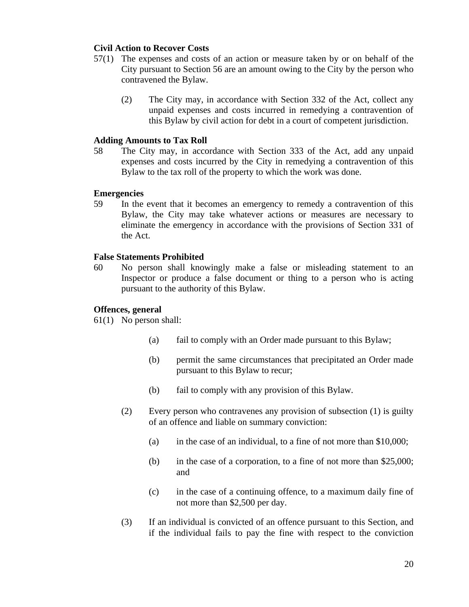# **Civil Action to Recover Costs**

- 57(1) The expenses and costs of an action or measure taken by or on behalf of the City pursuant to Section 56 are an amount owing to the City by the person who contravened the Bylaw.
	- (2) The City may, in accordance with Section 332 of the Act, collect any unpaid expenses and costs incurred in remedying a contravention of this Bylaw by civil action for debt in a court of competent jurisdiction.

# **Adding Amounts to Tax Roll**

58 The City may, in accordance with Section 333 of the Act, add any unpaid expenses and costs incurred by the City in remedying a contravention of this Bylaw to the tax roll of the property to which the work was done.

#### **Emergencies**

59 In the event that it becomes an emergency to remedy a contravention of this Bylaw, the City may take whatever actions or measures are necessary to eliminate the emergency in accordance with the provisions of Section 331 of the Act.

#### **False Statements Prohibited**

60 No person shall knowingly make a false or misleading statement to an Inspector or produce a false document or thing to a person who is acting pursuant to the authority of this Bylaw.

# **Offences, general**

61(1) No person shall:

- (a) fail to comply with an Order made pursuant to this Bylaw;
- (b) permit the same circumstances that precipitated an Order made pursuant to this Bylaw to recur;
- (b) fail to comply with any provision of this Bylaw.
- (2) Every person who contravenes any provision of subsection (1) is guilty of an offence and liable on summary conviction:
	- (a) in the case of an individual, to a fine of not more than  $$10,000$ ;
	- (b) in the case of a corporation, to a fine of not more than \$25,000; and
	- (c) in the case of a continuing offence, to a maximum daily fine of not more than \$2,500 per day.
- (3) If an individual is convicted of an offence pursuant to this Section, and if the individual fails to pay the fine with respect to the conviction